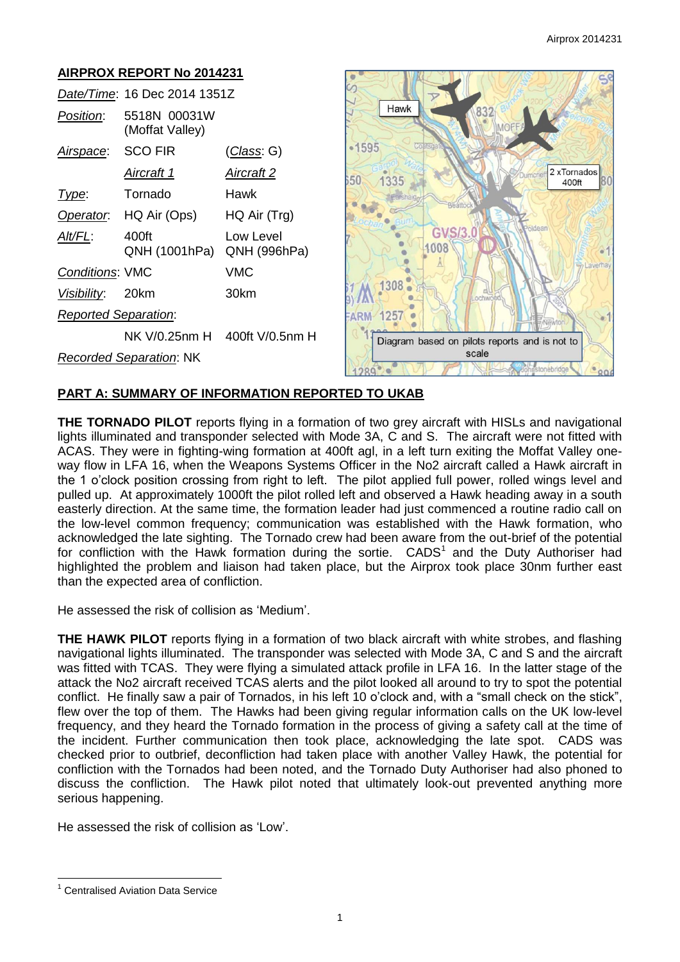

# **PART A: SUMMARY OF INFORMATION REPORTED TO UKAB**

**THE TORNADO PILOT** reports flying in a formation of two grey aircraft with HISLs and navigational lights illuminated and transponder selected with Mode 3A, C and S. The aircraft were not fitted with ACAS. They were in fighting-wing formation at 400ft agl, in a left turn exiting the Moffat Valley oneway flow in LFA 16, when the Weapons Systems Officer in the No2 aircraft called a Hawk aircraft in the 1 o'clock position crossing from right to left. The pilot applied full power, rolled wings level and pulled up. At approximately 1000ft the pilot rolled left and observed a Hawk heading away in a south easterly direction. At the same time, the formation leader had just commenced a routine radio call on the low-level common frequency; communication was established with the Hawk formation, who acknowledged the late sighting. The Tornado crew had been aware from the out-brief of the potential for confliction with the Hawk formation during the sortie.  $CADS<sup>1</sup>$  and the Duty Authoriser had highlighted the problem and liaison had taken place, but the Airprox took place 30nm further east than the expected area of confliction.

He assessed the risk of collision as 'Medium'.

**THE HAWK PILOT** reports flying in a formation of two black aircraft with white strobes, and flashing navigational lights illuminated. The transponder was selected with Mode 3A, C and S and the aircraft was fitted with TCAS. They were flying a simulated attack profile in LFA 16. In the latter stage of the attack the No2 aircraft received TCAS alerts and the pilot looked all around to try to spot the potential conflict. He finally saw a pair of Tornados, in his left 10 o'clock and, with a "small check on the stick", flew over the top of them. The Hawks had been giving regular information calls on the UK low-level frequency, and they heard the Tornado formation in the process of giving a safety call at the time of the incident. Further communication then took place, acknowledging the late spot. CADS was checked prior to outbrief, deconfliction had taken place with another Valley Hawk, the potential for confliction with the Tornados had been noted, and the Tornado Duty Authoriser had also phoned to discuss the confliction. The Hawk pilot noted that ultimately look-out prevented anything more serious happening.

He assessed the risk of collision as 'Low'.

 $\overline{a}$ 

<sup>1</sup> Centralised Aviation Data Service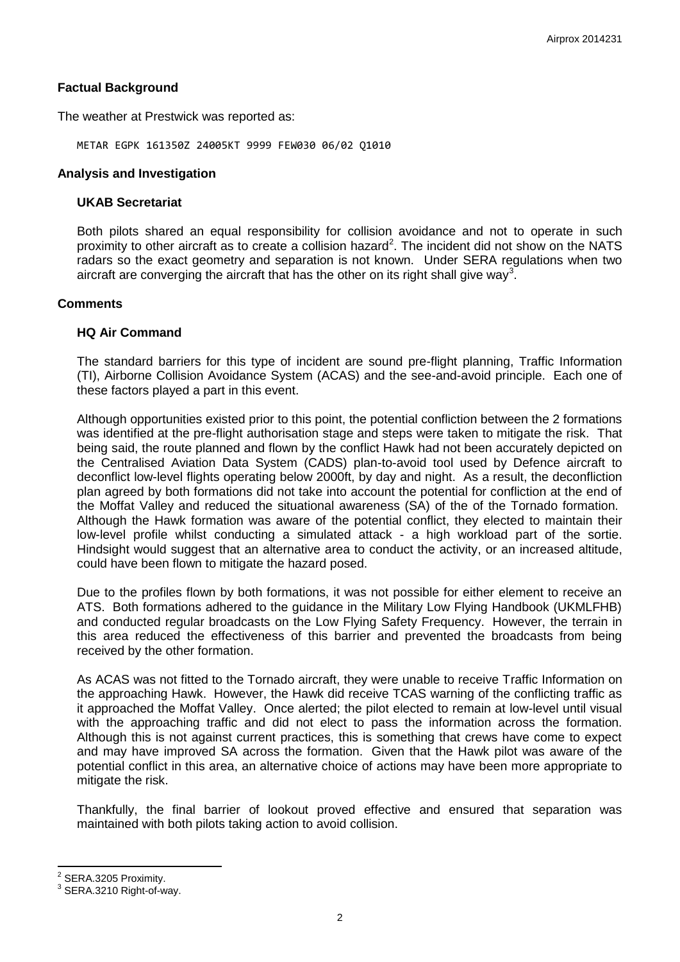# **Factual Background**

The weather at Prestwick was reported as:

METAR EGPK 161350Z 24005KT 9999 FEW030 06/02 Q1010

### **Analysis and Investigation**

### **UKAB Secretariat**

Both pilots shared an equal responsibility for collision avoidance and not to operate in such proximity to other aircraft as to create a collision hazard<sup>2</sup>. The incident did not show on the NATS radars so the exact geometry and separation is not known. Under SERA regulations when two aircraft are converging the aircraft that has the other on its right shall give way<sup>3</sup>.

### **Comments**

#### **HQ Air Command**

The standard barriers for this type of incident are sound pre-flight planning, Traffic Information (TI), Airborne Collision Avoidance System (ACAS) and the see-and-avoid principle. Each one of these factors played a part in this event.

Although opportunities existed prior to this point, the potential confliction between the 2 formations was identified at the pre-flight authorisation stage and steps were taken to mitigate the risk. That being said, the route planned and flown by the conflict Hawk had not been accurately depicted on the Centralised Aviation Data System (CADS) plan-to-avoid tool used by Defence aircraft to deconflict low-level flights operating below 2000ft, by day and night. As a result, the deconfliction plan agreed by both formations did not take into account the potential for confliction at the end of the Moffat Valley and reduced the situational awareness (SA) of the of the Tornado formation. Although the Hawk formation was aware of the potential conflict, they elected to maintain their low-level profile whilst conducting a simulated attack - a high workload part of the sortie. Hindsight would suggest that an alternative area to conduct the activity, or an increased altitude, could have been flown to mitigate the hazard posed.

Due to the profiles flown by both formations, it was not possible for either element to receive an ATS. Both formations adhered to the guidance in the Military Low Flying Handbook (UKMLFHB) and conducted regular broadcasts on the Low Flying Safety Frequency. However, the terrain in this area reduced the effectiveness of this barrier and prevented the broadcasts from being received by the other formation.

As ACAS was not fitted to the Tornado aircraft, they were unable to receive Traffic Information on the approaching Hawk. However, the Hawk did receive TCAS warning of the conflicting traffic as it approached the Moffat Valley. Once alerted; the pilot elected to remain at low-level until visual with the approaching traffic and did not elect to pass the information across the formation. Although this is not against current practices, this is something that crews have come to expect and may have improved SA across the formation. Given that the Hawk pilot was aware of the potential conflict in this area, an alternative choice of actions may have been more appropriate to mitigate the risk.

Thankfully, the final barrier of lookout proved effective and ensured that separation was maintained with both pilots taking action to avoid collision.

 $\overline{\phantom{a}}$ 

 $2^{2}$  SERA.3205 Proximity.

<sup>3</sup> SERA.3210 Right-of-way.